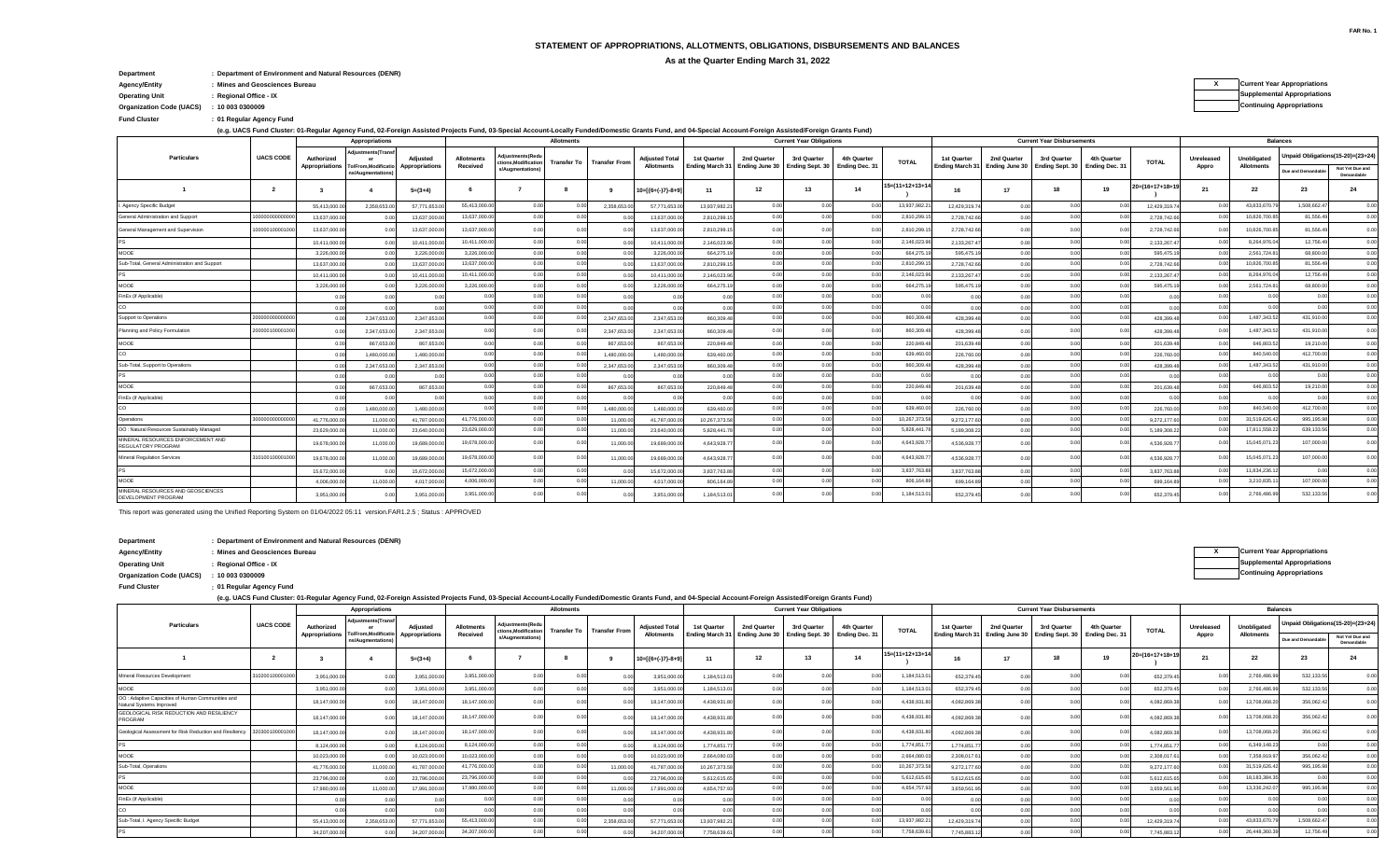## **STATEMENT OF APPROPRIATIONS, ALLOTMENTS, OBLIGATIONS, DISBURSEMENTS AND BALANCES**

**As at the Quarter Ending March 31, 2022**

**Department : Department of Environment and Natural Resources (DENR)**

**Agency/Entity : Mines and Geosciences Bureau X Current Year Appropriations**

**Operating Unit Supplemental Appropriations : Regional Office - IX**

**Organization Code (UACS) Continuing Appropriations : 10 003 0300009**

**: Fund Cluster 01 Regular Agency Fund**

**(e.g. UACS Fund Cluster: 01-Regular Agency Fund, 02-Foreign Assisted Projects Fund, 03-Special Account-Locally Funded/Domestic Grants Fund, and 04-Special Account-Foreign Assisted/Foreign Grants Fund)**

|                                                          |                  |              | Appropriations                                           |                |                               | <b>Allotments</b>                      |                    |                      |                       |              |                | <b>Current Year Obligations</b>                               |                |                 | <b>Current Year Disbursements</b> |                                                               |             |                               |                    |                | <b>Balances</b>                  |                    |                                   |  |
|----------------------------------------------------------|------------------|--------------|----------------------------------------------------------|----------------|-------------------------------|----------------------------------------|--------------------|----------------------|-----------------------|--------------|----------------|---------------------------------------------------------------|----------------|-----------------|-----------------------------------|---------------------------------------------------------------|-------------|-------------------------------|--------------------|----------------|----------------------------------|--------------------|-----------------------------------|--|
| Particulars                                              | <b>UACS CODE</b> | Authorized   | djustments(Transf<br>Appropriations To/From, Modificatio | Adiusted       | <b>Allotments</b><br>Received | Adiustments(Red<br>tions, Modification | <b>Transfer To</b> | <b>Transfer From</b> | <b>Adjusted Total</b> | 1st Quarter  | 2nd Quarter    | 3rd Quarter<br>Ending March 31 Ending June 30 Ending Sept. 30 | 4th Quarter    | <b>TOTAL</b>    | 1st Quarter                       | 2nd Quarter<br>Ending March 31 Ending June 30 Ending Sept. 30 | 3rd Quarter | 4th Quarter<br>Ending Dec. 31 | <b>TOTAL</b>       | Unreleased     | Unobligated<br><b>Allotments</b> |                    | Unpaid Obligations(15-20)=(23+24) |  |
|                                                          |                  |              | ns/Augmentations                                         | Appropriations |                               | s/Augmentations)                       |                    |                      | <b>Allotments</b>     |              |                |                                                               | Ending Dec. 31 |                 |                                   |                                                               |             |                               |                    | Appro          |                                  | Due and Demandable | Not Yet Due and<br>Demandable     |  |
|                                                          | $\overline{2}$   | $\mathbf{3}$ | $\overline{\mathbf{4}}$                                  | $5=(3+4)$      |                               |                                        | - 8                | - 9                  | $10=[(6+(-)7)-8+9]$   | 11           | 12             | 13                                                            | 14             | 15=(11+12+13+14 | 16                                | 17                                                            | 18          | 19                            | $20= (16+17+18+1)$ | 21             | 22                               | 23                 | 24                                |  |
| I. Agency Specific Budget                                |                  | 55.413.000.0 | 2.358.653.                                               | 57.771.653.    | 55,413,000.0                  |                                        |                    | 2.358.653.           | 57.771.653.0          | 13.937.982.2 | 0.00           | 0.00                                                          |                | 13,937,982.2    | 12.429.319.7                      |                                                               |             |                               | 12.429.319.        | - 0.0          | 43,833,670.7                     | 1,508,662.47       | 0.00                              |  |
| General Administration and Support                       | 000000000000     | 13,637,000.0 | 00                                                       | 13,637,000.0   | 13,637,000.00                 | 0.00                                   | 0.00               | 0.00                 | 13,637,000.0          | 2,810,299.1  | 0.00           | 0.00                                                          |                | 2,810,299.      | 2,728,742.66                      | 0.00                                                          | 0.00        | 00                            | 2,728,742.6        | 0.00           | 10,826,700.85                    | 81,556.49          | 0.00                              |  |
| General Management and Supervision                       | 0000010000100    | 13,637,000.0 |                                                          | 13,637,000.0   | 13.637.000.0                  | 0.00                                   |                    |                      | 13,637,000.0          | 2,810,299.1  | 0.00           | 0.00                                                          |                | 2,810,299.1     | 2,728,742.66                      |                                                               |             |                               | 2,728,742.6        | 0.00           | 10,826,700.8                     | 81.556.49          | 0.00                              |  |
|                                                          |                  | 10,411,000.0 |                                                          | 10,411,000.    | 10,411,000.0                  |                                        |                    |                      | 10,411,000.0          | 2.146.023.9  | 0.00           | 0.00                                                          |                | 2,146,023.9     | 2,133,267.4                       |                                                               |             |                               | 2,133,267.         |                | 8,264,976.0                      | 12,756.49          | 0.00                              |  |
| MOOE                                                     |                  | 3,226,000.0  | 0.00                                                     | 3,226,000.     | 3,226,000.0                   |                                        |                    |                      | 3,226,000.0           | 664,275.     | 0.00           | 0.00                                                          |                | 664,275.1       | 595,475.1                         | 0.00                                                          |             |                               | 595,475.           | 0 <sup>0</sup> | 2,561,724.8                      | 68,800.0           | 0.00                              |  |
| Sub-Total, General Administration and Support            |                  | 13,637,000.0 |                                                          | 13,637,000.    | 13.637.000.0                  | 0.00                                   |                    |                      | 13.637.000            | 2,810,299.1  | 0.00           | 0.00                                                          |                | 2,810,299.1     | 2,728,742.6                       |                                                               |             |                               | 2,728,742.6        | 00             | 10.826.700.8                     | 81.556.49          | 0.00                              |  |
|                                                          |                  | 10,411,000.0 |                                                          | 10.411.000.    | 10.411.000.0                  | 0.00                                   |                    |                      | 10,411,000            | 2,146,023.9  | 0.00           | 0.00                                                          |                | 2,146,023.9     | 2,133,267.4                       | 0.00                                                          |             |                               | 2,133,267.         | 0.00           | 8,264,976.0                      | 12,756.49          | 0.00                              |  |
| MOOE                                                     |                  | 3,226,000.0  |                                                          | 3,226,000.0    | 3.226.000.0                   | 0.00                                   |                    |                      | 3,226,000.0           | 664,275.1    | 0.00           | 0.00                                                          |                | 664.275.        | 595,475.1                         | 0.00                                                          | 0.00        |                               | 595,475.1          | 00             | 2.561.724.8                      | 68,800.00          | 0.00                              |  |
| FinEx (if Applicable)                                    |                  | 0.00         | 0.00                                                     | 0 <sub>0</sub> | 0.00                          | 0.00                                   |                    | 000                  | 0 <sub>0</sub>        | 0.00         | 0.00           | 0.00                                                          |                |                 | 0.00                              | 0.00                                                          |             |                               | 0 <sub>0</sub>     | 0.00           | 0.00                             |                    | 0.00                              |  |
| CO                                                       |                  | 0.00         | 0.00                                                     | 0 <sub>0</sub> | 0.00                          | 0.00                                   |                    | 0.00                 | 00                    | 0.00         | 0.00           | 0.00                                                          | 0.00           | 0.00            | 0.00                              | 0.00                                                          | 0.00        |                               | 00                 | 0.00           | 0.0                              | 0 <sub>0</sub>     | 0.00                              |  |
| Support to Operations                                    | 000000000000     | 0.00         | 2,347,653.0                                              | 2,347,653.0    | 0.00                          |                                        |                    | 2,347,653            | 2,347,653.0           | 860,309.4    | 0.00           | 0.00                                                          |                | 860,309.4       | 428,399.4                         |                                                               |             |                               | 428,399.4          | 0.00           | 1.487.343.5                      | 431.910.0          | 0.00                              |  |
| Planning and Policy Formulation                          | 0000010000100    |              | 2,347,653.                                               | 2,347,653.0    | 0 <sub>0</sub>                |                                        |                    | 2,347,653            | 2,347,653.0           | 860,309.4    | 0 <sub>0</sub> | 0 <sub>0</sub>                                                |                | 860,309.4       | 428,399.4                         |                                                               |             |                               | 428,399.4          | 0.00           | 1.487.343.5                      | 431.910.0          | 0.00                              |  |
| MOOE                                                     |                  | 0.00         | 867.653.0                                                | 867,653.00     | 0.00                          | 0.00                                   | 0.00               | 867,653.0            | 867,653.0             | 220,849.4    | 0.00           | 0.00                                                          |                | 220,849.4       | 201.639.48                        | 0.00                                                          | 0.00        |                               | 201,639.4          | 0.00           | 646,803.52                       | 19,210.00          | 0.00                              |  |
| CO                                                       |                  |              | 1.480.000.                                               | 1.480.000.0    | 0.00                          |                                        | 00                 | 1.480.000            | 1.480,000.0           | 639,460.0    | 0.00           | 0.00                                                          |                | 639,460.0       | 226,760.0                         | 0.00                                                          |             |                               | 226,760.0          | 0 <sup>0</sup> | 840,540.0                        | 412,700.00         | 0.00                              |  |
| Sub-Total, Support to Operations                         |                  | 0.00         | 2.347.653.0                                              | 2.347.653.0    | 0.00                          |                                        |                    | 2.347.653.0          | 2.347.653.0           | 860,309.4    | 0.00           | 0.00                                                          |                | 860,309.4       | 428.399.4                         | 0.00                                                          |             |                               | 428,399.4          | 0.00           | 1,487,343.5                      | 431,910.0          | 0.00                              |  |
| <b>PS</b>                                                |                  | 0.00         |                                                          | 0 <sub>0</sub> | 0.00                          |                                        | 0 <sub>0</sub>     |                      |                       | 00           | 0.00           | 0.00                                                          |                |                 | 0.00                              |                                                               |             |                               | 0 <sup>1</sup>     | 0.00           | 0 <sup>0</sup>                   | 0 <sub>0</sub>     | 0.00                              |  |
| MOOE                                                     |                  | 0.00         | 867.653.0                                                | 867,653.00     | 0.00                          | 0.00                                   | 0.00               | 867,653.0            | 867,653.0             | 220,849.4    | 0.00           | 0.00                                                          |                | 220,849.4       | 201.639.48                        | 0.00                                                          | 0.00        | 00                            | 201.639.4          | 0.00           | 646,803.52                       | 19,210.00          | 0.00                              |  |
| FinEx (if Applicable)                                    |                  | 0.00         | 00                                                       | 0 <sub>0</sub> | 0.00                          | n nn                                   | 0.00               | 000                  | 0 <sub>0</sub>        | 00           | 0.00           | 0.00                                                          |                | 0.00            | 0.00                              | 0.00                                                          | 0.00        |                               | 0 <sup>1</sup>     | 0.00           | 0.00                             | 0.00               | 0.00                              |  |
| CO                                                       |                  | 0.00         | 1.480.000.00                                             | 1.480.000.0    | 0.00                          |                                        | 0.00               | 1,480,000.0          | 1.480.000.0           | 639,460.0    | 0.00           | 0.00                                                          |                | 639,460.0       | 226,760.0                         | 0.00                                                          |             |                               | 226,760.0          | 0.00           | 840,540.00                       | 412,700.0          | 0.00                              |  |
| Operations                                               | 000000000000     | 41,776,000.0 | 11,000.                                                  | 41,787,000.    | 41,776,000.0                  |                                        |                    | 11.000               | 41,787,000.           | 10,267,373.5 | 0.00           | 0.00                                                          |                | 10,267,373.5    | 9,272,177.60                      | 0.00                                                          |             |                               | 9,272,177.         | 00             | 31,519,626.4                     | 995,195.98         | 0.00                              |  |
| OO: Natural Resources Sustainably Managed                |                  | 23,629,000.0 | 11,000.0                                                 | 23,640,000.    | 23,629,000.0                  |                                        | 0.00               | 11.000               | 23.640.000            | 5.828.441.   | 0.00           | 0.00                                                          |                | 5,828,441.7     | 5,189,308.2                       | 0.00                                                          |             |                               | 5.189.308.2        | 0.00           | 17,811,558.2                     | 639,133.5          | 0.00                              |  |
| MINERAL RESOURCES ENFORCEMENT AND<br>REGULATORY PROGRAM  |                  | 19,678,000.0 | 11,000.0                                                 | 19.689.000.0   | 19,678,000.0                  | 0.00                                   | 0.00               | 11.000.0             | 19,689,000.0          | 4.643.928.7  | 0.00           | 0.0                                                           |                | 4,643,928.7     | 4,536,928.7                       |                                                               |             |                               | 4.536.928.7        | 0.00           | 15,045,071.2                     | 107,000.0          | 0.00                              |  |
| <b>Mineral Regulation Services</b>                       | 1010010000100    | 19,678,000.0 | 11,000.0                                                 | 19.689.000.0   | 19,678,000.0                  |                                        | 0.00               | 11.000.0             | 19,689,000.0          | 4.643.928.7  | 0.00           | 0.00                                                          |                | 4,643,928.7     | 4.536.928.7                       |                                                               |             |                               | 4.536.928.7        | 0.00           | 15,045,071.2                     | 107,000.0          | 0.00                              |  |
|                                                          |                  | 15,672,000.0 |                                                          | 15,672,000.    | 15,672,000.0                  | 0.00                                   |                    |                      | 15.672.000.0          | 3.837.763.8  | 0.00           | 0.00                                                          |                | 3,837,763.8     | 3,837,763.8                       |                                                               | 0.00        | 00                            | 3.837,763.8        | 0.00           | 11,834,236.1                     | 0.00               | 0.00                              |  |
| MOOE                                                     |                  | 4,006,000.0  | 11,000.00                                                | 4.017.000.0    | 4,006,000.0                   | 0.00                                   | 0.00               | 11,000.0             | 4,017,000.0           | 806,164.8    | 0.00           | 0.00                                                          |                | 806,164.8       | 699,164.8                         | 0.00                                                          |             |                               | 699,164.8          | 0.00           | 3,210,835.                       | 107.000.00         | 0.00                              |  |
| MINERAL RESOURCES AND GEOSCIENCES<br>DEVELOPMENT PROGRAM |                  | 3,951,000.0  |                                                          | 3,951,000.0    | 3.951.000.0                   |                                        |                    |                      | 3,951,000.0           | 1,184,513.0  |                |                                                               |                | 1,184,513.0     | 652,379.45                        |                                                               |             |                               | 652,379.4          |                | 2,766,486.9                      | 532.133.5          |                                   |  |

This report was generated using the Unified Reporting System on 01/04/2022 05:11 version.FAR1.2.5 ; Status : APPROVED

**Department : Department of Environment and Natural Resources (DENR)**

**Agency/Entity : Mines and Geosciences Bureau Current Year Appropriations**

**: Fund Cluster 01 Regular Agency Fund**

**(e.g. UACS Fund Cluster: 01-Regular Agency Fund, 02-Foreign Assisted Projects Fund, 03-Special Account-Locally Funded/Domestic Grants Fund, and 04-Special Account-Foreign Assisted/Foreign Grants Fund)**

| <b>Particulars</b>                                                            |                  |               | Appropriations                                                                                       |              |                   |                                                             | <b>Allotments</b> |                           |                       |              |                                                               | <b>Current Year Obligations</b> |             |                 |              | <b>Current Year Disbursements</b>              |                |                 | <b>Balances</b> |                   |                                   |                               |  |
|-------------------------------------------------------------------------------|------------------|---------------|------------------------------------------------------------------------------------------------------|--------------|-------------------|-------------------------------------------------------------|-------------------|---------------------------|-----------------------|--------------|---------------------------------------------------------------|---------------------------------|-------------|-----------------|--------------|------------------------------------------------|----------------|-----------------|-----------------|-------------------|-----------------------------------|-------------------------------|--|
|                                                                               | <b>UACS CODE</b> | Authorized    | <b>Adiustments(Transf</b><br>Appropriations To/From, Modificatio Appropriations<br>ns/Augmentations) | Adiusted     | <b>Allotments</b> | Adjustments(Redu<br>ctions.Modification<br>s/Augmentations) |                   | Transfer To Transfer From | <b>Adjusted Total</b> | 1st Quarter  | 2nd Quarter                                                   | 3rd Quarter                     | 4th Quarter | <b>TOTAL</b>    | 1st Quarter  | 2nd Quarter<br>3rd Quarter                     | 4th Quarter    | <b>TOTAL</b>    | Unreleased      | Unobligated       | Unpaid Obligations(15-20)=(23+24) |                               |  |
|                                                                               |                  |               |                                                                                                      |              | Received          |                                                             |                   |                           | <b>Allotments</b>     |              | Ending March 31 Ending June 30 Ending Sept. 30 Ending Dec. 31 |                                 |             |                 |              | Ending March 31 Ending June 30 Ending Sept. 30 | Ending Dec. 31 |                 | Appro           | <b>Allotments</b> | Due and Demandabl                 | Not Yet Due and<br>Demandable |  |
|                                                                               |                  |               |                                                                                                      | $5=(3+4)$    |                   |                                                             |                   |                           | $10=[(6+(-)7)-8+9]$   | 11           | 12                                                            | 13                              | 14          | 15=(11+12+13+14 | 16           |                                                | 19             | 20=(16+17+18+19 | 21              | 22                | 23                                | 24                            |  |
| Mineral Resources Development                                                 | 31020010000100   | 3.951.000.00  |                                                                                                      | 3,951,000.0  | 3,951,000.0       |                                                             |                   |                           | 3,951,000.0           | 1.184.513.0  |                                                               |                                 |             | 1,184,513.0     | 652,379.45   |                                                |                | 652,379.4       | 00              | 2,766,486.9       | 532,133.56                        | 0.00                          |  |
| MOOE                                                                          |                  | 3.951.000.00  |                                                                                                      | 3,951,000.0  | 3.951.000.0       |                                                             |                   |                           | 3,951,000.0           | 1.184.513.0  | 0.00                                                          |                                 |             | 1,184,513.0     | 652.379.45   |                                                |                | 652,379.4       | 0 <sup>0</sup>  | 2,766,486.9       | 532,133.56                        | 0.00                          |  |
| OO : Adaptive Capacities of Human Communities and<br>Natural Systems Improved |                  | 18,147,000.00 |                                                                                                      | 18,147,000.0 | 18,147,000.0      |                                                             |                   |                           | 18,147,000.0          | 4,438,931.8  |                                                               |                                 |             | 4,438,931.8     | 4,082,869.3  |                                                |                | 4,082,869.3     |                 | 13,708,068.2      | 356,062.42                        | 0.00                          |  |
| GEOLOGICAL RISK REDUCTION AND RESILIENCY<br>PROGRAM                           |                  | 18.147.000.00 |                                                                                                      | 18,147,000.0 | 18.147.000.0      |                                                             |                   |                           | 18,147,000.0          | 4.438.931.8  |                                                               |                                 |             | 4.438.931.8     | 4,082,869.3  |                                                |                | 4,082,869.3     |                 | 13,708,068.2      | 356,062.4                         | 0.00                          |  |
| Geological Assessment for Risk Reduction and Resiliency                       | 32030010000100   | 18,147,000.00 |                                                                                                      | 18,147,000.0 | 18,147,000.0      |                                                             |                   |                           | 18,147,000.0          | 4,438,931.8  |                                                               |                                 |             | 4,438,931.8     | 4,082,869.3  |                                                |                | 4,082,869.3     |                 | 13,708,068.2      | 356,062.4                         | 0.00                          |  |
|                                                                               |                  | 8,124,000.0   |                                                                                                      | 8,124,000.0  | 8,124,000.0       |                                                             |                   |                           | 8,124,000.0           | 1,774,851.7  |                                                               |                                 |             | 1,774,851.      | 1,774,851.7  |                                                |                | 1,774,851.      | 0 <sup>0</sup>  | 6,349,148.23      |                                   | 0.00                          |  |
| MOOE                                                                          |                  | 10,023,000.0  |                                                                                                      | 10,023,000.0 | 10.023.000.0      |                                                             |                   |                           | 10,023,000            | 2,664,080.0  |                                                               |                                 |             | 2,664,080.0     | 2,308,017.6  |                                                |                | 2.308.017.6     |                 | 7,358,919.9       | 356.062.42                        | 0.00                          |  |
| Sub-Total, Operations                                                         |                  | 41,776,000.0  | 11,000.                                                                                              | 41,787,000.0 | 41,776,000.0      |                                                             |                   | 11,000.0                  | 41,787,000            | 10.267.373.5 |                                                               |                                 |             | 10,267,373.5    | 9.272.177.60 |                                                |                | 9,272,177.6     | 0 <sup>0</sup>  | 31,519,626.42     | 995,195.98                        | 0.00                          |  |
|                                                                               |                  | 23,796,000.0  |                                                                                                      | 23,796,000.0 | 23,796,000.0      |                                                             |                   |                           | 23,796,000.0          | 5,612,615.6  |                                                               |                                 |             | 5,612,615.6     | 5,612,615.65 |                                                |                | 5,612,615.6     | 00              | 18,183,384.3      |                                   | 0.00                          |  |
| MOOE                                                                          |                  | 17,980,000.0  | 11.000.                                                                                              | 17,991,000.0 | 17,980,000.0      |                                                             |                   | 11,000.0                  | 17,991,000.0          | 4,654,757.9  | 0.00                                                          |                                 |             | 4,654,757.9     | 3,659,561.9  |                                                |                | 3,659,561.      | 0 <sup>0</sup>  | 13,336,242.0      | 995.195.98                        | 0.00                          |  |
| FinEx (if Applicable)                                                         |                  |               |                                                                                                      |              |                   |                                                             |                   |                           |                       |              |                                                               |                                 |             |                 |              |                                                |                |                 |                 |                   |                                   | 0.00                          |  |
|                                                                               |                  |               |                                                                                                      |              |                   |                                                             |                   |                           |                       |              |                                                               |                                 |             |                 |              |                                                |                |                 |                 |                   |                                   | 0.00                          |  |
| Sub-Total, I. Agency Specific Budget                                          |                  | 55,413,000.0  | 2.358.653.0                                                                                          | 57,771,653.0 | 55.413.000.0      |                                                             |                   | 2,358,653.0               | 57,771,653.0          | 13,937,982.2 |                                                               |                                 |             | 13,937,982.2    | 12,429,319.7 |                                                |                | 12,429,319.7    |                 | 43,833,670.7      | 1.508.662.4                       | 0.00                          |  |
| <b>PS</b>                                                                     |                  | 34,207,000.00 |                                                                                                      | 34,207,000.0 | 34,207,000.0      |                                                             |                   |                           | 34,207,000            | 7,758,639.6  | n nr                                                          |                                 |             | 7,758,639.6     | 7,745,883.1  |                                                |                | 7,745,883.1     | 00              | 26,448,360.3      | 12,756.49                         | 0.00                          |  |